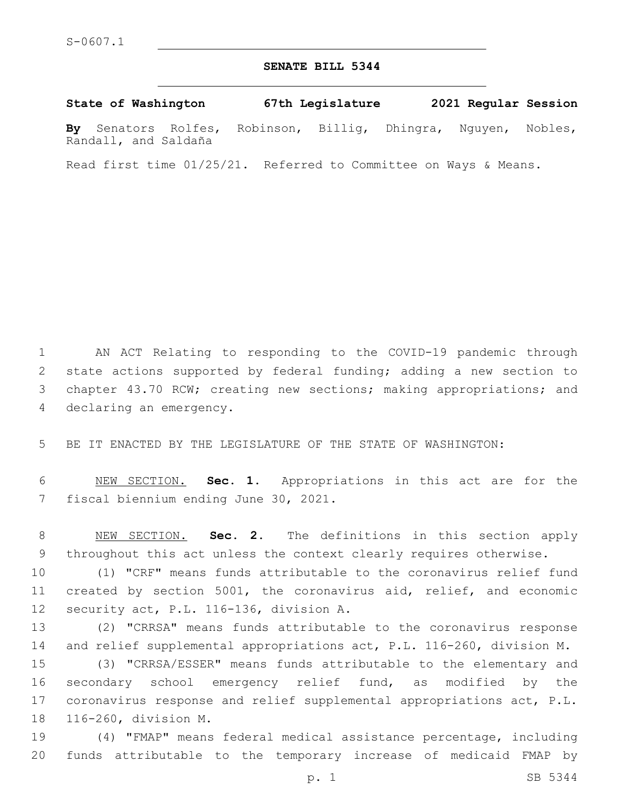#### **SENATE BILL 5344**

**State of Washington 67th Legislature 2021 Regular Session By** Senators Rolfes, Robinson, Billig, Dhingra, Nguyen, Nobles, Randall, and Saldaña

Read first time 01/25/21. Referred to Committee on Ways & Means.

 AN ACT Relating to responding to the COVID-19 pandemic through state actions supported by federal funding; adding a new section to chapter 43.70 RCW; creating new sections; making appropriations; and 4 declaring an emergency.

BE IT ENACTED BY THE LEGISLATURE OF THE STATE OF WASHINGTON:

 NEW SECTION. **Sec. 1.** Appropriations in this act are for the fiscal biennium ending June 30, 2021.

 NEW SECTION. **Sec. 2.** The definitions in this section apply throughout this act unless the context clearly requires otherwise.

 (1) "CRF" means funds attributable to the coronavirus relief fund created by section 5001, the coronavirus aid, relief, and economic 12 security act, P.L. 116-136, division A.

 (2) "CRRSA" means funds attributable to the coronavirus response and relief supplemental appropriations act, P.L. 116-260, division M.

 (3) "CRRSA/ESSER" means funds attributable to the elementary and secondary school emergency relief fund, as modified by the coronavirus response and relief supplemental appropriations act, P.L. 18 116-260, division M.

 (4) "FMAP" means federal medical assistance percentage, including funds attributable to the temporary increase of medicaid FMAP by

p. 1 SB 5344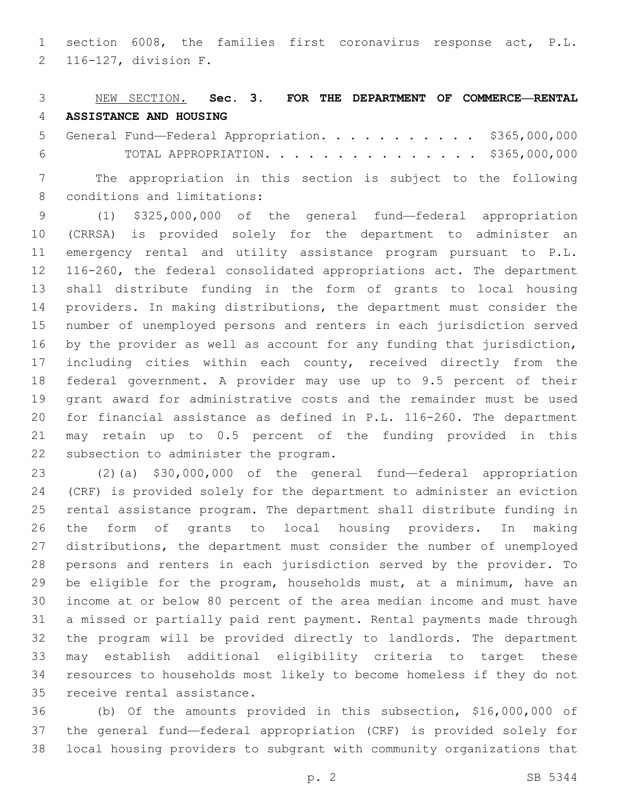section 6008, the families first coronavirus response act, P.L. 116-127, division F.2

#### NEW SECTION. **Sec. 3. FOR THE DEPARTMENT OF COMMERCE—RENTAL ASSISTANCE AND HOUSING**

 General Fund—Federal Appropriation. . . . . . . . . . . \$365,000,000 TOTAL APPROPRIATION. . . . . . . . . . . . . . . \$365,000,000

 The appropriation in this section is subject to the following 8 conditions and limitations:

 (1) \$325,000,000 of the general fund—federal appropriation (CRRSA) is provided solely for the department to administer an emergency rental and utility assistance program pursuant to P.L. 116-260, the federal consolidated appropriations act. The department shall distribute funding in the form of grants to local housing providers. In making distributions, the department must consider the number of unemployed persons and renters in each jurisdiction served by the provider as well as account for any funding that jurisdiction, including cities within each county, received directly from the federal government. A provider may use up to 9.5 percent of their grant award for administrative costs and the remainder must be used for financial assistance as defined in P.L. 116-260. The department may retain up to 0.5 percent of the funding provided in this 22 subsection to administer the program.

 (2)(a) \$30,000,000 of the general fund—federal appropriation (CRF) is provided solely for the department to administer an eviction rental assistance program. The department shall distribute funding in the form of grants to local housing providers. In making distributions, the department must consider the number of unemployed persons and renters in each jurisdiction served by the provider. To be eligible for the program, households must, at a minimum, have an income at or below 80 percent of the area median income and must have a missed or partially paid rent payment. Rental payments made through the program will be provided directly to landlords. The department may establish additional eligibility criteria to target these resources to households most likely to become homeless if they do not 35 receive rental assistance.

 (b) Of the amounts provided in this subsection, \$16,000,000 of the general fund—federal appropriation (CRF) is provided solely for local housing providers to subgrant with community organizations that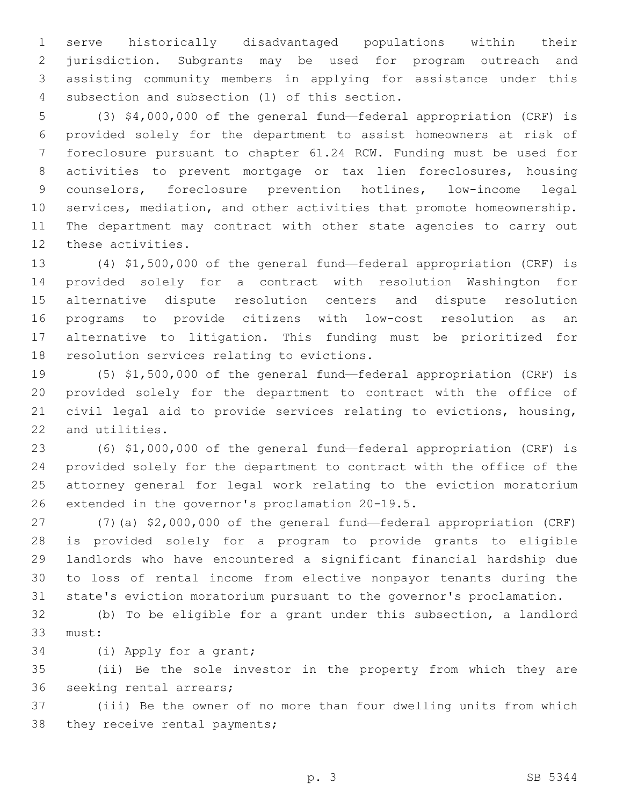serve historically disadvantaged populations within their jurisdiction. Subgrants may be used for program outreach and assisting community members in applying for assistance under this 4 subsection and subsection (1) of this section.

 (3) \$4,000,000 of the general fund—federal appropriation (CRF) is provided solely for the department to assist homeowners at risk of foreclosure pursuant to chapter 61.24 RCW. Funding must be used for activities to prevent mortgage or tax lien foreclosures, housing counselors, foreclosure prevention hotlines, low-income legal services, mediation, and other activities that promote homeownership. The department may contract with other state agencies to carry out 12 these activities.

 (4) \$1,500,000 of the general fund—federal appropriation (CRF) is provided solely for a contract with resolution Washington for alternative dispute resolution centers and dispute resolution programs to provide citizens with low-cost resolution as an alternative to litigation. This funding must be prioritized for 18 resolution services relating to evictions.

 (5) \$1,500,000 of the general fund—federal appropriation (CRF) is provided solely for the department to contract with the office of civil legal aid to provide services relating to evictions, housing, 22 and utilities.

 (6) \$1,000,000 of the general fund—federal appropriation (CRF) is provided solely for the department to contract with the office of the attorney general for legal work relating to the eviction moratorium 26 extended in the governor's proclamation 20-19.5.

 (7)(a) \$2,000,000 of the general fund—federal appropriation (CRF) is provided solely for a program to provide grants to eligible landlords who have encountered a significant financial hardship due to loss of rental income from elective nonpayor tenants during the state's eviction moratorium pursuant to the governor's proclamation.

 (b) To be eligible for a grant under this subsection, a landlord 33 must:

34 (i) Apply for a grant;

 (ii) Be the sole investor in the property from which they are 36 seeking rental arrears;

 (iii) Be the owner of no more than four dwelling units from which 38 they receive rental payments;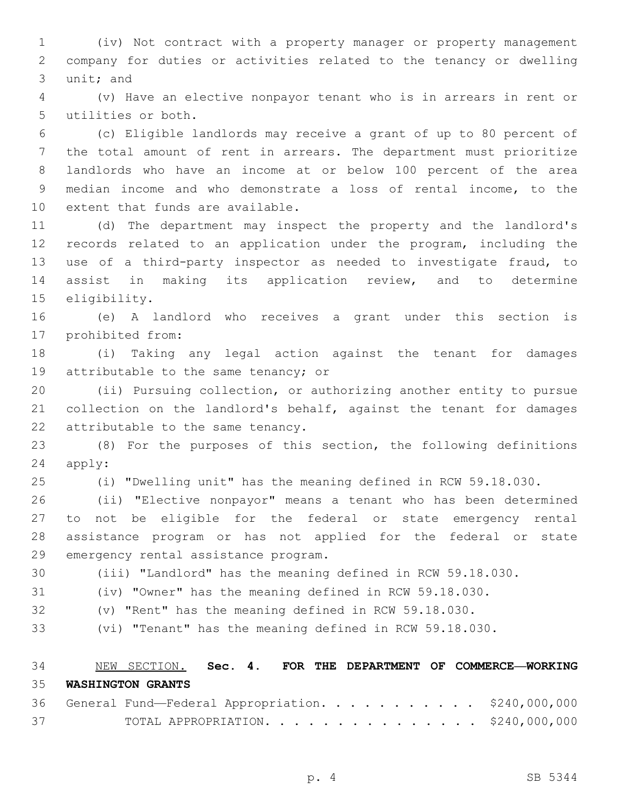(iv) Not contract with a property manager or property management company for duties or activities related to the tenancy or dwelling 3 unit; and

 (v) Have an elective nonpayor tenant who is in arrears in rent or 5 utilities or both.

 (c) Eligible landlords may receive a grant of up to 80 percent of the total amount of rent in arrears. The department must prioritize landlords who have an income at or below 100 percent of the area median income and who demonstrate a loss of rental income, to the 10 extent that funds are available.

 (d) The department may inspect the property and the landlord's records related to an application under the program, including the use of a third-party inspector as needed to investigate fraud, to assist in making its application review, and to determine 15 eligibility.

 (e) A landlord who receives a grant under this section is 17 prohibited from:

 (i) Taking any legal action against the tenant for damages 19 attributable to the same tenancy; or

 (ii) Pursuing collection, or authorizing another entity to pursue collection on the landlord's behalf, against the tenant for damages 22 attributable to the same tenancy.

 (8) For the purposes of this section, the following definitions 24 apply:

(i) "Dwelling unit" has the meaning defined in RCW 59.18.030.

 (ii) "Elective nonpayor" means a tenant who has been determined to not be eligible for the federal or state emergency rental assistance program or has not applied for the federal or state 29 emergency rental assistance program.

(iii) "Landlord" has the meaning defined in RCW 59.18.030.

(iv) "Owner" has the meaning defined in RCW 59.18.030.

(v) "Rent" has the meaning defined in RCW 59.18.030.

(vi) "Tenant" has the meaning defined in RCW 59.18.030.

 NEW SECTION. **Sec. 4. FOR THE DEPARTMENT OF COMMERCE—WORKING WASHINGTON GRANTS**

|    |  |  |  |  |  |  |  |  | 36 General Fund-Federal Appropriation. \$240,000,000 |
|----|--|--|--|--|--|--|--|--|------------------------------------------------------|
| 37 |  |  |  |  |  |  |  |  | TOTAL APPROPRIATION. \$240,000,000                   |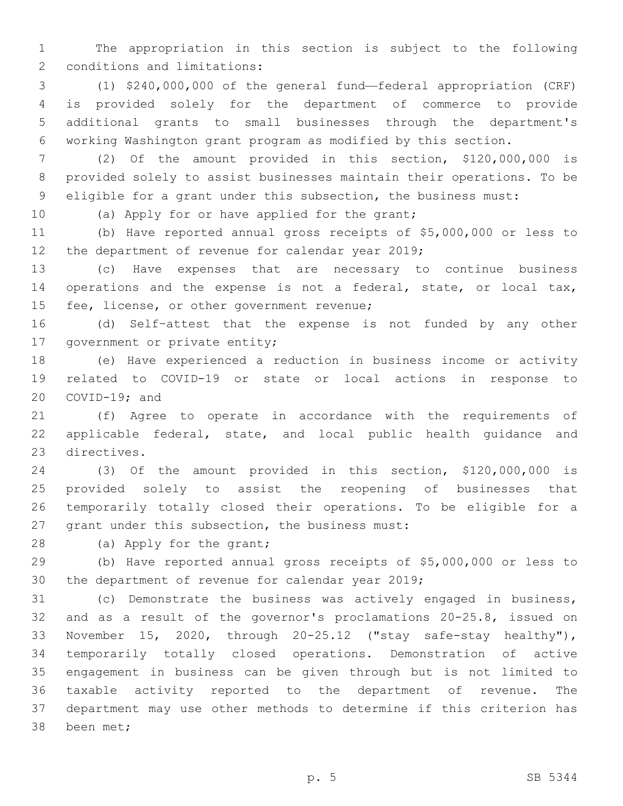The appropriation in this section is subject to the following 2 conditions and limitations:

 (1) \$240,000,000 of the general fund—federal appropriation (CRF) is provided solely for the department of commerce to provide additional grants to small businesses through the department's working Washington grant program as modified by this section.

 (2) Of the amount provided in this section, \$120,000,000 is provided solely to assist businesses maintain their operations. To be eligible for a grant under this subsection, the business must:

10 (a) Apply for or have applied for the grant;

 (b) Have reported annual gross receipts of \$5,000,000 or less to 12 the department of revenue for calendar year 2019;

 (c) Have expenses that are necessary to continue business operations and the expense is not a federal, state, or local tax, 15 fee, license, or other government revenue;

 (d) Self–attest that the expense is not funded by any other 17 government or private entity;

 (e) Have experienced a reduction in business income or activity related to COVID-19 or state or local actions in response to COVID-19; and

 (f) Agree to operate in accordance with the requirements of applicable federal, state, and local public health guidance and 23 directives.

 (3) Of the amount provided in this section, \$120,000,000 is provided solely to assist the reopening of businesses that temporarily totally closed their operations. To be eligible for a 27 grant under this subsection, the business must:

28 (a) Apply for the grant;

 (b) Have reported annual gross receipts of \$5,000,000 or less to 30 the department of revenue for calendar year ;

 (c) Demonstrate the business was actively engaged in business, and as a result of the governor's proclamations 20-25.8, issued on November 15, 2020, through 20-25.12 ("stay safe-stay healthy"), temporarily totally closed operations. Demonstration of active engagement in business can be given through but is not limited to taxable activity reported to the department of revenue. The department may use other methods to determine if this criterion has 38 been met;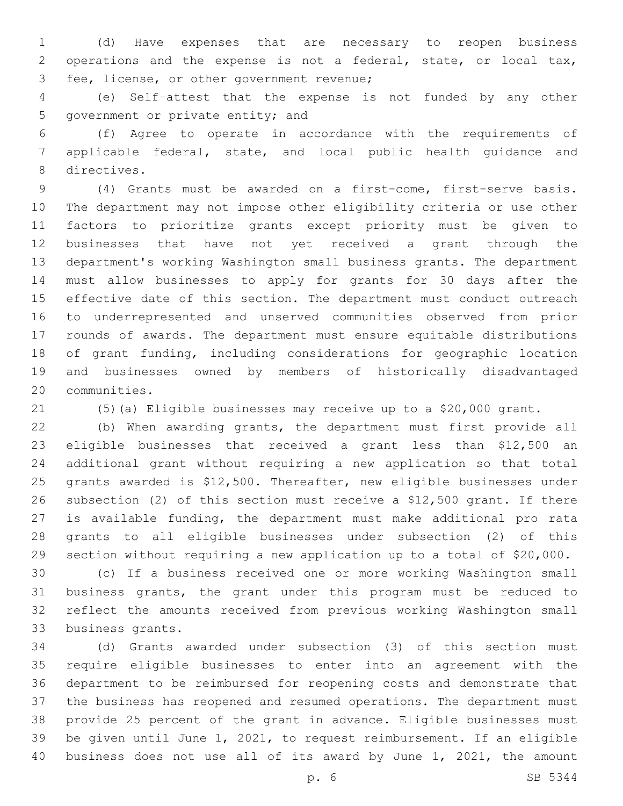(d) Have expenses that are necessary to reopen business operations and the expense is not a federal, state, or local tax, 3 fee, license, or other government revenue;

 (e) Self–attest that the expense is not funded by any other 5 government or private entity; and

 (f) Agree to operate in accordance with the requirements of applicable federal, state, and local public health guidance and 8 directives.

 (4) Grants must be awarded on a first-come, first-serve basis. The department may not impose other eligibility criteria or use other factors to prioritize grants except priority must be given to businesses that have not yet received a grant through the department's working Washington small business grants. The department must allow businesses to apply for grants for 30 days after the effective date of this section. The department must conduct outreach to underrepresented and unserved communities observed from prior rounds of awards. The department must ensure equitable distributions of grant funding, including considerations for geographic location and businesses owned by members of historically disadvantaged 20 communities.

(5)(a) Eligible businesses may receive up to a \$20,000 grant.

 (b) When awarding grants, the department must first provide all eligible businesses that received a grant less than \$12,500 an additional grant without requiring a new application so that total grants awarded is \$12,500. Thereafter, new eligible businesses under subsection (2) of this section must receive a \$12,500 grant. If there is available funding, the department must make additional pro rata grants to all eligible businesses under subsection (2) of this section without requiring a new application up to a total of \$20,000.

 (c) If a business received one or more working Washington small business grants, the grant under this program must be reduced to reflect the amounts received from previous working Washington small 33 business grants.

 (d) Grants awarded under subsection (3) of this section must require eligible businesses to enter into an agreement with the department to be reimbursed for reopening costs and demonstrate that the business has reopened and resumed operations. The department must provide 25 percent of the grant in advance. Eligible businesses must be given until June 1, 2021, to request reimbursement. If an eligible business does not use all of its award by June 1, 2021, the amount

p. 6 SB 5344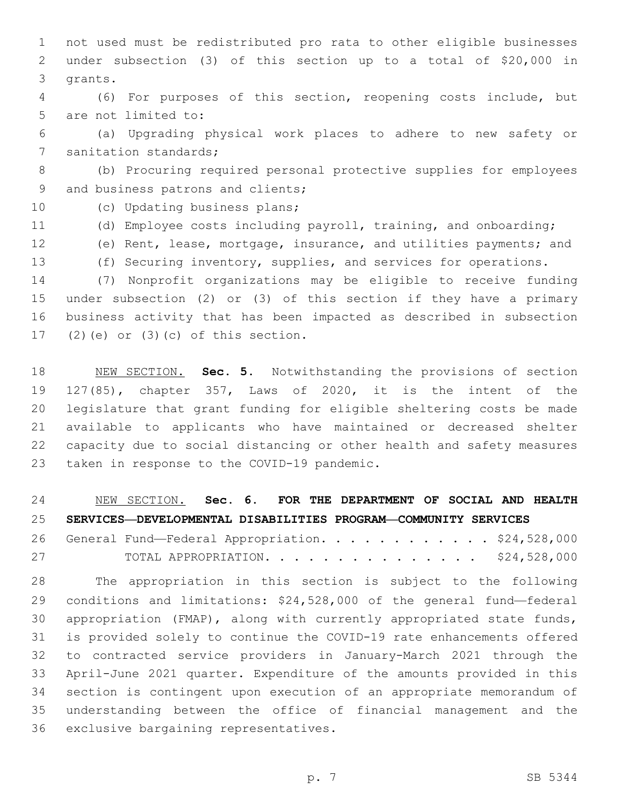not used must be redistributed pro rata to other eligible businesses under subsection (3) of this section up to a total of \$20,000 in 3 grants.

 (6) For purposes of this section, reopening costs include, but 5 are not limited to:

 (a) Upgrading physical work places to adhere to new safety or 7 sanitation standards;

 (b) Procuring required personal protective supplies for employees 9 and business patrons and clients;

10 (c) Updating business plans;

- (d) Employee costs including payroll, training, and onboarding;
- (e) Rent, lease, mortgage, insurance, and utilities payments; and
- (f) Securing inventory, supplies, and services for operations.

 (7) Nonprofit organizations may be eligible to receive funding under subsection (2) or (3) of this section if they have a primary business activity that has been impacted as described in subsection (2)(e) or (3)(c) of this section.

 NEW SECTION. **Sec. 5.** Notwithstanding the provisions of section 127(85), chapter 357, Laws of 2020, it is the intent of the legislature that grant funding for eligible sheltering costs be made available to applicants who have maintained or decreased shelter capacity due to social distancing or other health and safety measures taken in response to the COVID-19 pandemic.

 NEW SECTION. **Sec. 6. FOR THE DEPARTMENT OF SOCIAL AND HEALTH SERVICES—DEVELOPMENTAL DISABILITIES PROGRAM—COMMUNITY SERVICES**

26 General Fund—Federal Appropriation. . . . . . . . . . . \$24,528,000 TOTAL APPROPRIATION. . . . . . . . . . . . . . . \$24,528,000

 The appropriation in this section is subject to the following conditions and limitations: \$24,528,000 of the general fund—federal appropriation (FMAP), along with currently appropriated state funds, is provided solely to continue the COVID-19 rate enhancements offered to contracted service providers in January-March 2021 through the April-June 2021 quarter. Expenditure of the amounts provided in this section is contingent upon execution of an appropriate memorandum of understanding between the office of financial management and the 36 exclusive bargaining representatives.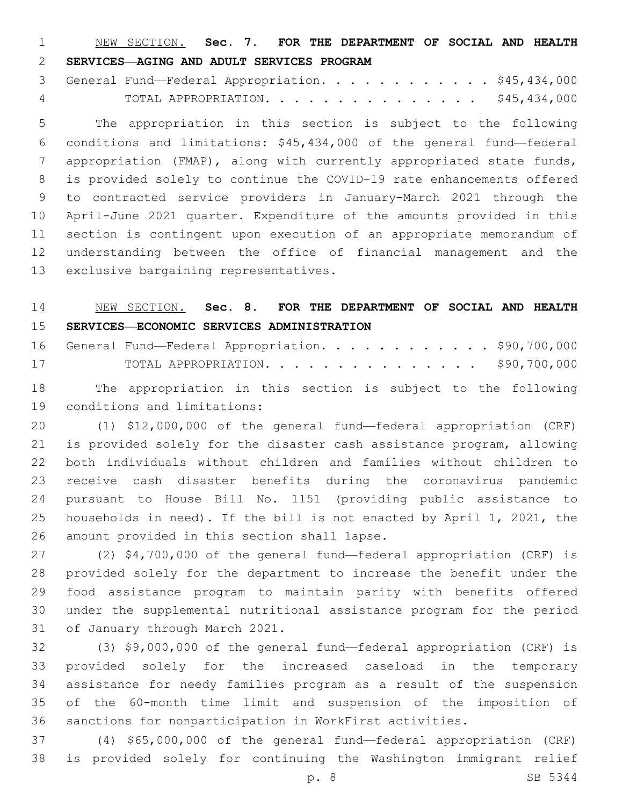NEW SECTION. **Sec. 7. FOR THE DEPARTMENT OF SOCIAL AND HEALTH SERVICES—AGING AND ADULT SERVICES PROGRAM**

3 General Fund—Federal Appropriation. . . . . . . . . . . \$45,434,000 TOTAL APPROPRIATION. . . . . . . . . . . . . . . \$45,434,000

 The appropriation in this section is subject to the following conditions and limitations: \$45,434,000 of the general fund—federal appropriation (FMAP), along with currently appropriated state funds, is provided solely to continue the COVID-19 rate enhancements offered to contracted service providers in January-March 2021 through the April-June 2021 quarter. Expenditure of the amounts provided in this section is contingent upon execution of an appropriate memorandum of understanding between the office of financial management and the 13 exclusive bargaining representatives.

# NEW SECTION. **Sec. 8. FOR THE DEPARTMENT OF SOCIAL AND HEALTH SERVICES—ECONOMIC SERVICES ADMINISTRATION**

|    |  |  |  |  |  |  |  |  | 16 General Fund-Federal Appropriation. \$90,700,000 |
|----|--|--|--|--|--|--|--|--|-----------------------------------------------------|
| 17 |  |  |  |  |  |  |  |  | TOTAL APPROPRIATION. \$90,700,000                   |

 The appropriation in this section is subject to the following 19 conditions and limitations:

 (1) \$12,000,000 of the general fund—federal appropriation (CRF) is provided solely for the disaster cash assistance program, allowing both individuals without children and families without children to receive cash disaster benefits during the coronavirus pandemic pursuant to House Bill No. 1151 (providing public assistance to households in need). If the bill is not enacted by April 1, 2021, the 26 amount provided in this section shall lapse.

 (2) \$4,700,000 of the general fund—federal appropriation (CRF) is provided solely for the department to increase the benefit under the food assistance program to maintain parity with benefits offered under the supplemental nutritional assistance program for the period 31 of January through March 2021.

 (3) \$9,000,000 of the general fund—federal appropriation (CRF) is provided solely for the increased caseload in the temporary assistance for needy families program as a result of the suspension of the 60-month time limit and suspension of the imposition of sanctions for nonparticipation in WorkFirst activities.

 (4) \$65,000,000 of the general fund—federal appropriation (CRF) is provided solely for continuing the Washington immigrant relief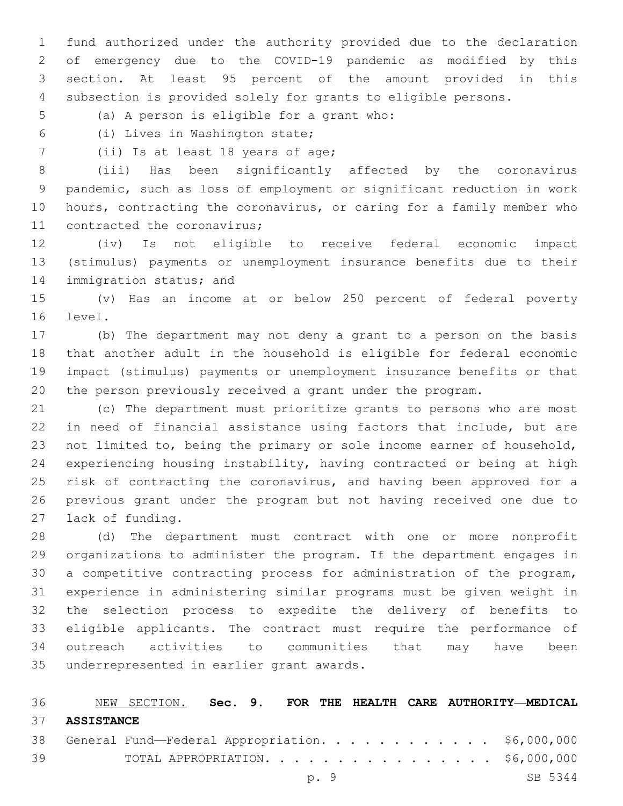fund authorized under the authority provided due to the declaration of emergency due to the COVID-19 pandemic as modified by this section. At least 95 percent of the amount provided in this subsection is provided solely for grants to eligible persons.

- 5 (a) A person is eligible for a grant who:
- (i) Lives in Washington state;6
- 7 (ii) Is at least 18 years of age;

 (iii) Has been significantly affected by the coronavirus pandemic, such as loss of employment or significant reduction in work hours, contracting the coronavirus, or caring for a family member who 11 contracted the coronavirus;

 (iv) Is not eligible to receive federal economic impact (stimulus) payments or unemployment insurance benefits due to their 14 immigration status; and

 (v) Has an income at or below 250 percent of federal poverty 16 level.

 (b) The department may not deny a grant to a person on the basis that another adult in the household is eligible for federal economic impact (stimulus) payments or unemployment insurance benefits or that the person previously received a grant under the program.

 (c) The department must prioritize grants to persons who are most in need of financial assistance using factors that include, but are not limited to, being the primary or sole income earner of household, experiencing housing instability, having contracted or being at high 25 risk of contracting the coronavirus, and having been approved for a previous grant under the program but not having received one due to 27 lack of funding.

 (d) The department must contract with one or more nonprofit organizations to administer the program. If the department engages in a competitive contracting process for administration of the program, experience in administering similar programs must be given weight in the selection process to expedite the delivery of benefits to eligible applicants. The contract must require the performance of outreach activities to communities that may have been 35 underrepresented in earlier grant awards.

|    | 36 NEW SECTION. Sec. 9. FOR THE HEALTH CARE AUTHORITY—MEDICAL |  |
|----|---------------------------------------------------------------|--|
|    | 37 ASSISTANCE                                                 |  |
|    | 38 General Fund—Federal Appropriation. \$6,000,000            |  |
| 39 | TOTAL APPROPRIATION. \$6,000,000                              |  |
|    | SB 5344<br>p. 9                                               |  |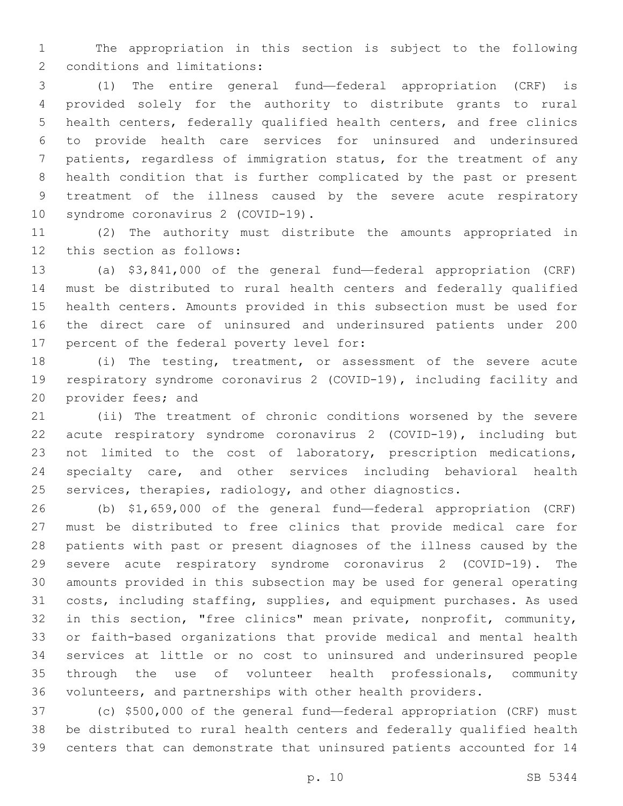The appropriation in this section is subject to the following 2 conditions and limitations:

 (1) The entire general fund—federal appropriation (CRF) is provided solely for the authority to distribute grants to rural health centers, federally qualified health centers, and free clinics to provide health care services for uninsured and underinsured patients, regardless of immigration status, for the treatment of any health condition that is further complicated by the past or present treatment of the illness caused by the severe acute respiratory 10 syndrome coronavirus 2 (COVID-19).

 (2) The authority must distribute the amounts appropriated in 12 this section as follows:

 (a) \$3,841,000 of the general fund—federal appropriation (CRF) must be distributed to rural health centers and federally qualified health centers. Amounts provided in this subsection must be used for the direct care of uninsured and underinsured patients under 200 17 percent of the federal poverty level for:

 (i) The testing, treatment, or assessment of the severe acute respiratory syndrome coronavirus 2 (COVID-19), including facility and 20 provider fees; and

 (ii) The treatment of chronic conditions worsened by the severe acute respiratory syndrome coronavirus 2 (COVID-19), including but not limited to the cost of laboratory, prescription medications, specialty care, and other services including behavioral health services, therapies, radiology, and other diagnostics.

 (b) \$1,659,000 of the general fund—federal appropriation (CRF) must be distributed to free clinics that provide medical care for patients with past or present diagnoses of the illness caused by the severe acute respiratory syndrome coronavirus 2 (COVID-19). The amounts provided in this subsection may be used for general operating costs, including staffing, supplies, and equipment purchases. As used in this section, "free clinics" mean private, nonprofit, community, or faith-based organizations that provide medical and mental health services at little or no cost to uninsured and underinsured people through the use of volunteer health professionals, community volunteers, and partnerships with other health providers.

 (c) \$500,000 of the general fund—federal appropriation (CRF) must be distributed to rural health centers and federally qualified health centers that can demonstrate that uninsured patients accounted for 14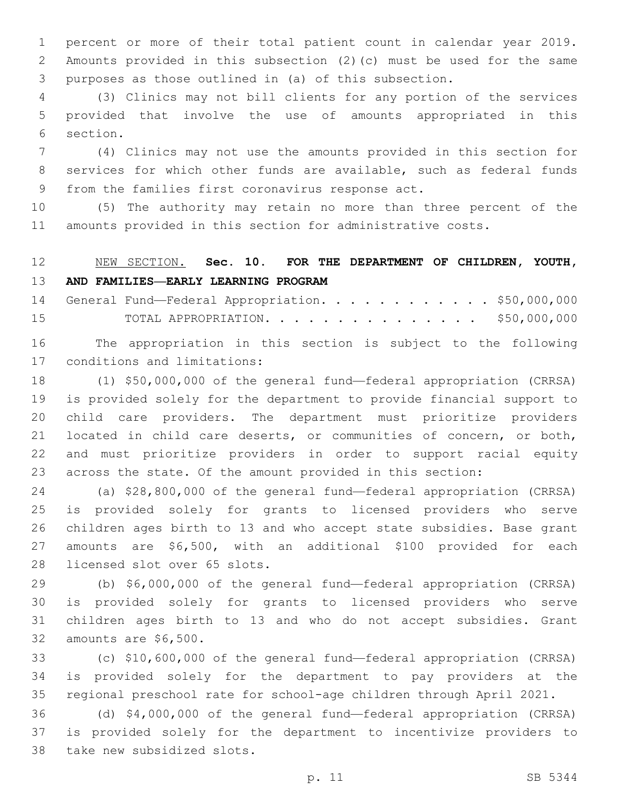percent or more of their total patient count in calendar year 2019. Amounts provided in this subsection (2)(c) must be used for the same purposes as those outlined in (a) of this subsection.

 (3) Clinics may not bill clients for any portion of the services provided that involve the use of amounts appropriated in this 6 section.

 (4) Clinics may not use the amounts provided in this section for services for which other funds are available, such as federal funds 9 from the families first coronavirus response act.

 (5) The authority may retain no more than three percent of the amounts provided in this section for administrative costs.

# NEW SECTION. **Sec. 10. FOR THE DEPARTMENT OF CHILDREN, YOUTH, AND FAMILIES—EARLY LEARNING PROGRAM**

14 General Fund—Federal Appropriation. . . . . . . . . . . \$50,000,000 TOTAL APPROPRIATION. . . . . . . . . . . . . . . \$50,000,000

 The appropriation in this section is subject to the following 17 conditions and limitations:

 (1) \$50,000,000 of the general fund—federal appropriation (CRRSA) is provided solely for the department to provide financial support to child care providers. The department must prioritize providers located in child care deserts, or communities of concern, or both, and must prioritize providers in order to support racial equity across the state. Of the amount provided in this section:

 (a) \$28,800,000 of the general fund—federal appropriation (CRRSA) is provided solely for grants to licensed providers who serve children ages birth to 13 and who accept state subsidies. Base grant amounts are \$6,500, with an additional \$100 provided for each 28 licensed slot over 65 slots.

 (b) \$6,000,000 of the general fund—federal appropriation (CRRSA) is provided solely for grants to licensed providers who serve children ages birth to 13 and who do not accept subsidies. Grant 32 amounts are \$6,500.

 (c) \$10,600,000 of the general fund—federal appropriation (CRRSA) is provided solely for the department to pay providers at the regional preschool rate for school-age children through April 2021.

 (d) \$4,000,000 of the general fund—federal appropriation (CRRSA) is provided solely for the department to incentivize providers to 38 take new subsidized slots.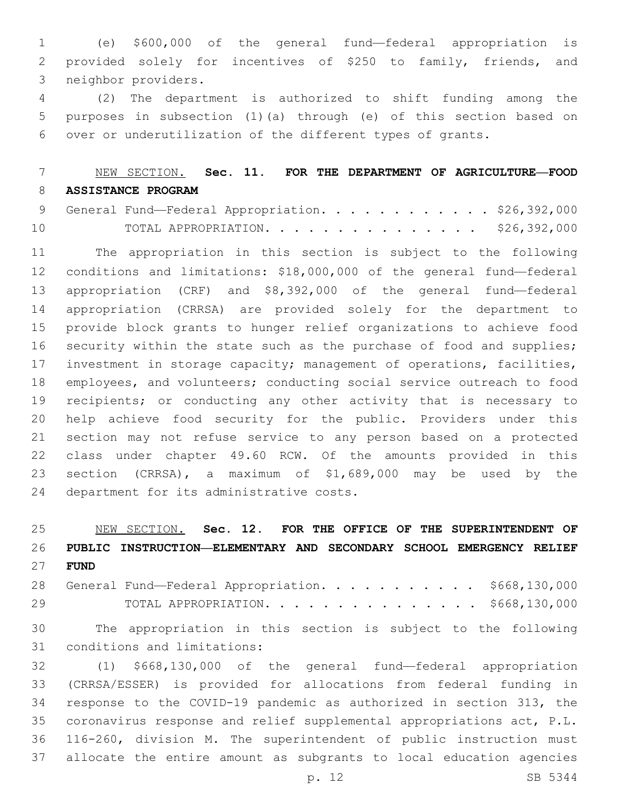(e) \$600,000 of the general fund—federal appropriation is provided solely for incentives of \$250 to family, friends, and 3 neighbor providers.

 (2) The department is authorized to shift funding among the purposes in subsection (1)(a) through (e) of this section based on over or underutilization of the different types of grants.

# NEW SECTION. **Sec. 11. FOR THE DEPARTMENT OF AGRICULTURE—FOOD ASSISTANCE PROGRAM**

|    |  |  |  |  |  |  | 9 General Fund—Federal Appropriation. \$26,392,000 |
|----|--|--|--|--|--|--|----------------------------------------------------|
| 10 |  |  |  |  |  |  | TOTAL APPROPRIATION. \$26,392,000                  |

 The appropriation in this section is subject to the following conditions and limitations: \$18,000,000 of the general fund—federal appropriation (CRF) and \$8,392,000 of the general fund—federal appropriation (CRRSA) are provided solely for the department to provide block grants to hunger relief organizations to achieve food 16 security within the state such as the purchase of food and supplies; investment in storage capacity; management of operations, facilities, employees, and volunteers; conducting social service outreach to food recipients; or conducting any other activity that is necessary to help achieve food security for the public. Providers under this section may not refuse service to any person based on a protected class under chapter 49.60 RCW. Of the amounts provided in this section (CRRSA), a maximum of \$1,689,000 may be used by the 24 department for its administrative costs.

 NEW SECTION. **Sec. 12. FOR THE OFFICE OF THE SUPERINTENDENT OF PUBLIC INSTRUCTION—ELEMENTARY AND SECONDARY SCHOOL EMERGENCY RELIEF FUND**

28 General Fund—Federal Appropriation. . . . . . . . . . \$668,130,000 TOTAL APPROPRIATION. . . . . . . . . . . . . . . \$668,130,000

 The appropriation in this section is subject to the following 31 conditions and limitations:

 (1) \$668,130,000 of the general fund—federal appropriation (CRRSA/ESSER) is provided for allocations from federal funding in response to the COVID-19 pandemic as authorized in section 313, the coronavirus response and relief supplemental appropriations act, P.L. 116-260, division M. The superintendent of public instruction must allocate the entire amount as subgrants to local education agencies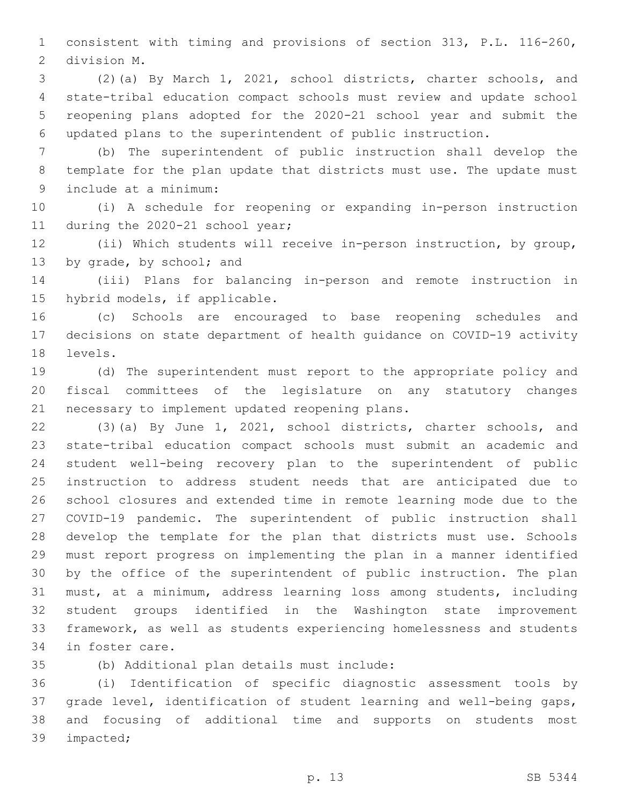consistent with timing and provisions of section 313, P.L. 116-260, 2 division M.

 (2)(a) By March 1, 2021, school districts, charter schools, and state-tribal education compact schools must review and update school reopening plans adopted for the 2020-21 school year and submit the updated plans to the superintendent of public instruction.

 (b) The superintendent of public instruction shall develop the template for the plan update that districts must use. The update must 9 include at a minimum:

 (i) A schedule for reopening or expanding in-person instruction 11 during the 2020-21 school year;

 (ii) Which students will receive in-person instruction, by group, 13 by grade, by school; and

 (iii) Plans for balancing in-person and remote instruction in 15 hybrid models, if applicable.

 (c) Schools are encouraged to base reopening schedules and decisions on state department of health guidance on COVID-19 activity 18 levels.

 (d) The superintendent must report to the appropriate policy and fiscal committees of the legislature on any statutory changes 21 necessary to implement updated reopening plans.

 (3)(a) By June 1, 2021, school districts, charter schools, and state-tribal education compact schools must submit an academic and student well-being recovery plan to the superintendent of public instruction to address student needs that are anticipated due to school closures and extended time in remote learning mode due to the COVID-19 pandemic. The superintendent of public instruction shall develop the template for the plan that districts must use. Schools must report progress on implementing the plan in a manner identified by the office of the superintendent of public instruction. The plan must, at a minimum, address learning loss among students, including student groups identified in the Washington state improvement framework, as well as students experiencing homelessness and students 34 in foster care.

(b) Additional plan details must include:35

 (i) Identification of specific diagnostic assessment tools by grade level, identification of student learning and well-being gaps, and focusing of additional time and supports on students most 39 impacted;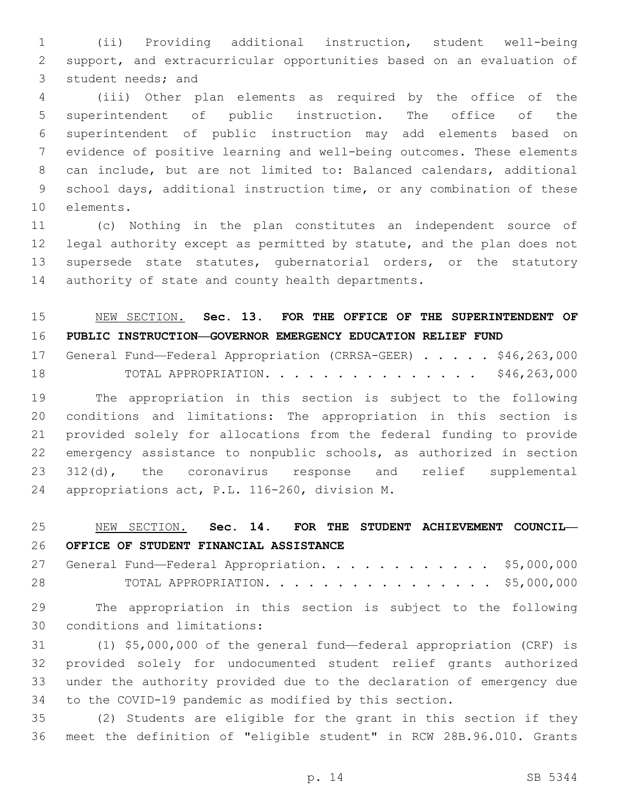(ii) Providing additional instruction, student well-being support, and extracurricular opportunities based on an evaluation of 3 student needs; and

 (iii) Other plan elements as required by the office of the superintendent of public instruction. The office of the superintendent of public instruction may add elements based on evidence of positive learning and well-being outcomes. These elements can include, but are not limited to: Balanced calendars, additional school days, additional instruction time, or any combination of these 10 elements.

 (c) Nothing in the plan constitutes an independent source of legal authority except as permitted by statute, and the plan does not supersede state statutes, gubernatorial orders, or the statutory 14 authority of state and county health departments.

# NEW SECTION. **Sec. 13. FOR THE OFFICE OF THE SUPERINTENDENT OF PUBLIC INSTRUCTION—GOVERNOR EMERGENCY EDUCATION RELIEF FUND**

|    | 17 General Fund-Federal Appropriation (CRRSA-GEER) \$46,263,000 |                      |  |  |  |  |  |  |              |  |
|----|-----------------------------------------------------------------|----------------------|--|--|--|--|--|--|--------------|--|
| 18 |                                                                 | TOTAL APPROPRIATION. |  |  |  |  |  |  | \$46,263,000 |  |

 The appropriation in this section is subject to the following conditions and limitations: The appropriation in this section is provided solely for allocations from the federal funding to provide emergency assistance to nonpublic schools, as authorized in section 312(d), the coronavirus response and relief supplemental 24 appropriations act, P.L. 116-260, division M.

# NEW SECTION. **Sec. 14. FOR THE STUDENT ACHIEVEMENT COUNCIL— OFFICE OF STUDENT FINANCIAL ASSISTANCE**

27 General Fund—Federal Appropriation. . . . . . . . . . . \$5,000,000 TOTAL APPROPRIATION. . . . . . . . . . . . . . . . \$5,000,000

 The appropriation in this section is subject to the following 30 conditions and limitations:

 (1) \$5,000,000 of the general fund—federal appropriation (CRF) is provided solely for undocumented student relief grants authorized under the authority provided due to the declaration of emergency due to the COVID-19 pandemic as modified by this section.

 (2) Students are eligible for the grant in this section if they meet the definition of "eligible student" in RCW 28B.96.010. Grants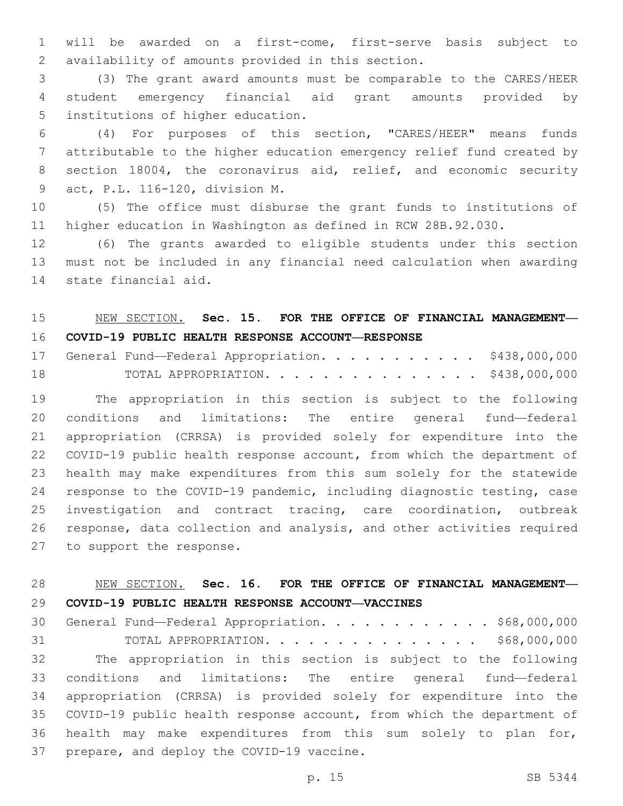will be awarded on a first-come, first-serve basis subject to availability of amounts provided in this section.2

 (3) The grant award amounts must be comparable to the CARES/HEER student emergency financial aid grant amounts provided by 5 institutions of higher education.

 (4) For purposes of this section, "CARES/HEER" means funds attributable to the higher education emergency relief fund created by section 18004, the coronavirus aid, relief, and economic security act, P.L. 116-120, division M.9

 (5) The office must disburse the grant funds to institutions of higher education in Washington as defined in RCW 28B.92.030.

 (6) The grants awarded to eligible students under this section must not be included in any financial need calculation when awarding 14 state financial aid.

### NEW SECTION. **Sec. 15. FOR THE OFFICE OF FINANCIAL MANAGEMENT— COVID-19 PUBLIC HEALTH RESPONSE ACCOUNT—RESPONSE**

17 General Fund—Federal Appropriation. . . . . . . . . . \$438,000,000 TOTAL APPROPRIATION. . . . . . . . . . . . . . . \$438,000,000

 The appropriation in this section is subject to the following conditions and limitations: The entire general fund—federal appropriation (CRRSA) is provided solely for expenditure into the COVID-19 public health response account, from which the department of health may make expenditures from this sum solely for the statewide response to the COVID-19 pandemic, including diagnostic testing, case investigation and contract tracing, care coordination, outbreak response, data collection and analysis, and other activities required 27 to support the response.

### NEW SECTION. **Sec. 16. FOR THE OFFICE OF FINANCIAL MANAGEMENT— COVID-19 PUBLIC HEALTH RESPONSE ACCOUNT—VACCINES**

 General Fund—Federal Appropriation. . . . . . . . . . . . \$68,000,000 31 TOTAL APPROPRIATION. . . . . . . . . . . . . . . \$68,000,000 The appropriation in this section is subject to the following conditions and limitations: The entire general fund—federal appropriation (CRRSA) is provided solely for expenditure into the COVID-19 public health response account, from which the department of health may make expenditures from this sum solely to plan for, 37 prepare, and deploy the COVID-19 vaccine.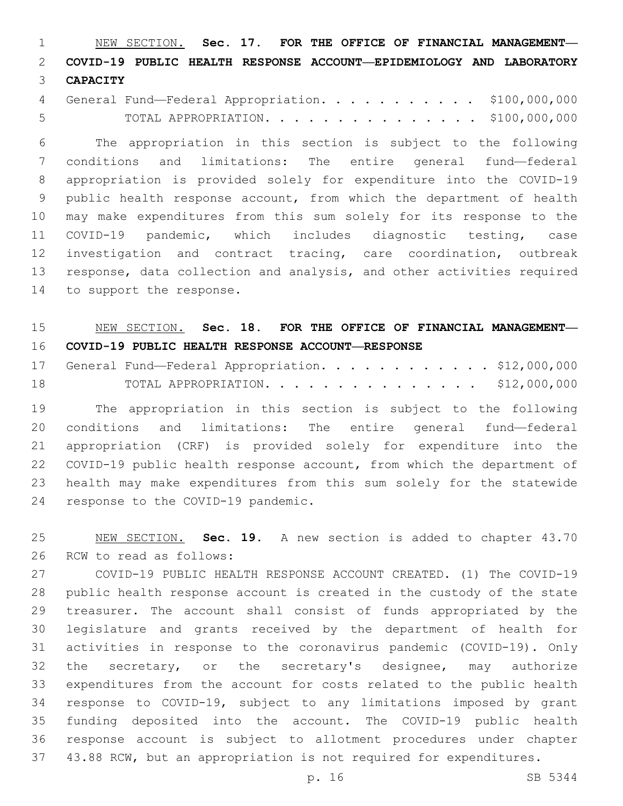NEW SECTION. **Sec. 17. FOR THE OFFICE OF FINANCIAL MANAGEMENT— COVID-19 PUBLIC HEALTH RESPONSE ACCOUNT—EPIDEMIOLOGY AND LABORATORY CAPACITY**

| 4 General Fund-Federal Appropriation. \$100,000,000 |  |  |  |  |  |  |                                    |
|-----------------------------------------------------|--|--|--|--|--|--|------------------------------------|
|                                                     |  |  |  |  |  |  | TOTAL APPROPRIATION. \$100,000,000 |

 The appropriation in this section is subject to the following conditions and limitations: The entire general fund—federal appropriation is provided solely for expenditure into the COVID-19 public health response account, from which the department of health may make expenditures from this sum solely for its response to the COVID-19 pandemic, which includes diagnostic testing, case investigation and contract tracing, care coordination, outbreak response, data collection and analysis, and other activities required 14 to support the response.

### NEW SECTION. **Sec. 18. FOR THE OFFICE OF FINANCIAL MANAGEMENT— COVID-19 PUBLIC HEALTH RESPONSE ACCOUNT—RESPONSE**

|    |  |  |  |  |  |  |  |  |  | 17 General Fund-Federal Appropriation. \$12,000,000 |
|----|--|--|--|--|--|--|--|--|--|-----------------------------------------------------|
| 18 |  |  |  |  |  |  |  |  |  | TOTAL APPROPRIATION. \$12,000,000                   |

 The appropriation in this section is subject to the following conditions and limitations: The entire general fund—federal appropriation (CRF) is provided solely for expenditure into the COVID-19 public health response account, from which the department of health may make expenditures from this sum solely for the statewide 24 response to the COVID-19 pandemic.

 NEW SECTION. **Sec. 19.** A new section is added to chapter 43.70 26 RCW to read as follows:

 COVID-19 PUBLIC HEALTH RESPONSE ACCOUNT CREATED. (1) The COVID-19 public health response account is created in the custody of the state treasurer. The account shall consist of funds appropriated by the legislature and grants received by the department of health for activities in response to the coronavirus pandemic (COVID-19). Only 32 the secretary, or the secretary's designee, may authorize expenditures from the account for costs related to the public health response to COVID-19, subject to any limitations imposed by grant funding deposited into the account. The COVID-19 public health response account is subject to allotment procedures under chapter 43.88 RCW, but an appropriation is not required for expenditures.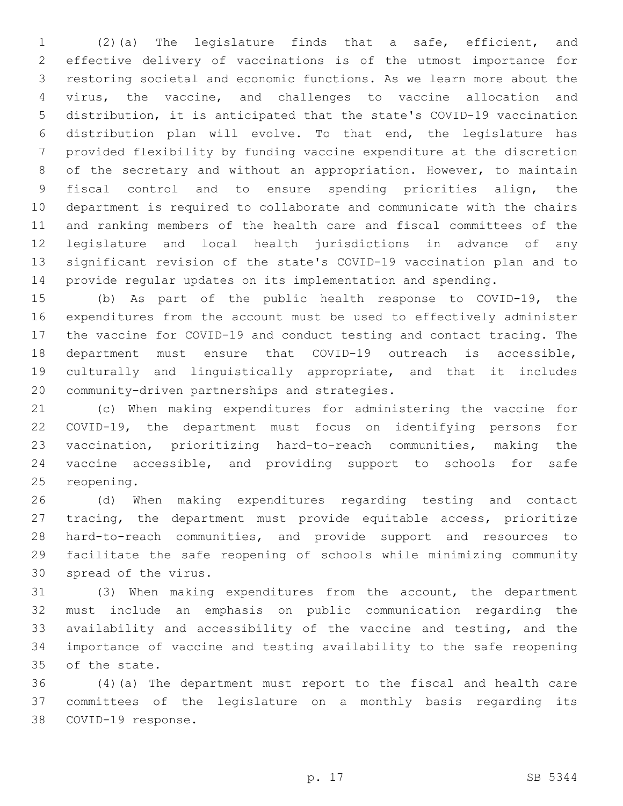(2)(a) The legislature finds that a safe, efficient, and effective delivery of vaccinations is of the utmost importance for restoring societal and economic functions. As we learn more about the virus, the vaccine, and challenges to vaccine allocation and distribution, it is anticipated that the state's COVID-19 vaccination distribution plan will evolve. To that end, the legislature has provided flexibility by funding vaccine expenditure at the discretion of the secretary and without an appropriation. However, to maintain fiscal control and to ensure spending priorities align, the department is required to collaborate and communicate with the chairs and ranking members of the health care and fiscal committees of the legislature and local health jurisdictions in advance of any significant revision of the state's COVID-19 vaccination plan and to provide regular updates on its implementation and spending.

 (b) As part of the public health response to COVID-19, the expenditures from the account must be used to effectively administer the vaccine for COVID-19 and conduct testing and contact tracing. The department must ensure that COVID-19 outreach is accessible, culturally and linguistically appropriate, and that it includes 20 community-driven partnerships and strategies.

 (c) When making expenditures for administering the vaccine for COVID-19, the department must focus on identifying persons for vaccination, prioritizing hard-to-reach communities, making the vaccine accessible, and providing support to schools for safe 25 reopening.

 (d) When making expenditures regarding testing and contact tracing, the department must provide equitable access, prioritize hard-to-reach communities, and provide support and resources to facilitate the safe reopening of schools while minimizing community 30 spread of the virus.

 (3) When making expenditures from the account, the department must include an emphasis on public communication regarding the availability and accessibility of the vaccine and testing, and the importance of vaccine and testing availability to the safe reopening 35 of the state.

 (4)(a) The department must report to the fiscal and health care committees of the legislature on a monthly basis regarding its 38 COVID-19 response.